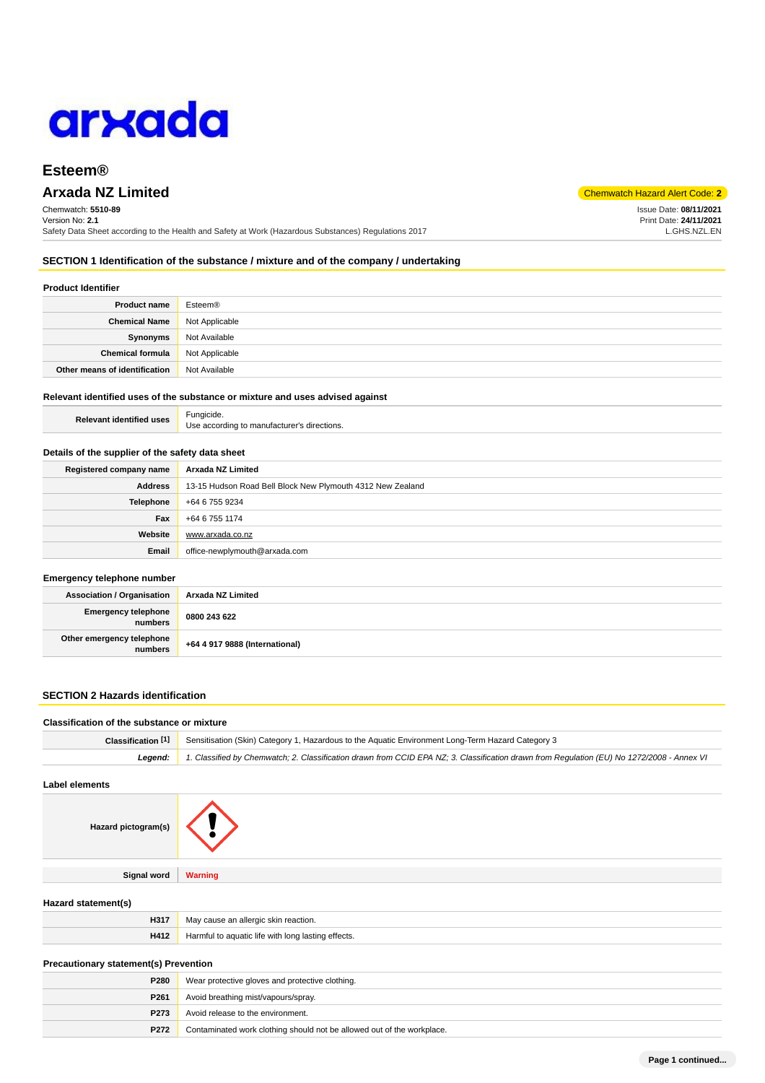

# **Esteem®**

# **Arxada NZ Limited** Code: **2**

Chemwatch: **5510-89** Version No: **2.1** Safety Data Sheet according to the Health and Safety at Work (Hazardous Substances) Regulations 2017 Issue Date: **08/11/2021**

Print Date: **24/11/2021** L.GHS.NZL.EN

## **SECTION 1 Identification of the substance / mixture and of the company / undertaking**

## **Product Identifier**

| <b>Product name</b>           | Esteem®        |
|-------------------------------|----------------|
| <b>Chemical Name</b>          | Not Applicable |
| Synonyms                      | Not Available  |
| <b>Chemical formula</b>       | Not Applicable |
| Other means of identification | Not Available  |

### **Relevant identified uses of the substance or mixture and uses advised against**

**Relevant identified uses** Fungicide. Use according to manufacturer's directions.

## **Details of the supplier of the safety data sheet**

| Registered company name | Arxada NZ Limited                                          |  |
|-------------------------|------------------------------------------------------------|--|
| Address                 | 13-15 Hudson Road Bell Block New Plymouth 4312 New Zealand |  |
| <b>Telephone</b>        | +64 6 755 9234                                             |  |
| Fax                     | +64 6 755 1174                                             |  |
| Website                 | www.arxada.co.nz                                           |  |
| Email                   | office-newplymouth@arxada.com                              |  |

#### **Emergency telephone number**

| <b>Association / Organisation</b>    | Arxada NZ Limited              |
|--------------------------------------|--------------------------------|
| Emergency telephone<br>numbers       | 0800 243 622                   |
| Other emergency telephone<br>numbers | +64 4 917 9888 (International) |

## **SECTION 2 Hazards identification**

| Classification [1] | Sensitisation (Skin) Category 1, Hazardous to the Aquatic Environment Long-Term Hazard Category 3                                          |  |
|--------------------|--------------------------------------------------------------------------------------------------------------------------------------------|--|
| Legend:            | 1. Classified by Chemwatch; 2. Classification drawn from CCID EPA NZ; 3. Classification drawn from Regulation (EU) No 1272/2008 - Annex VI |  |
| Label elements     |                                                                                                                                            |  |
|                    |                                                                                                                                            |  |

| Hazard statement(s) |                                                    |
|---------------------|----------------------------------------------------|
| H317                | May cause an allergic skin reaction.               |
| H412                | Harmful to aquatic life with long lasting effects. |
|                     |                                                    |

## **Precautionary statement(s) Prevention**

**Signal word Warning**

| <b>P280</b> | Wear protective gloves and protective clothing.                        |  |
|-------------|------------------------------------------------------------------------|--|
| P261        | Avoid breathing mist/vapours/spray.                                    |  |
| P273        | Avoid release to the environment.                                      |  |
| P272        | Contaminated work clothing should not be allowed out of the workplace. |  |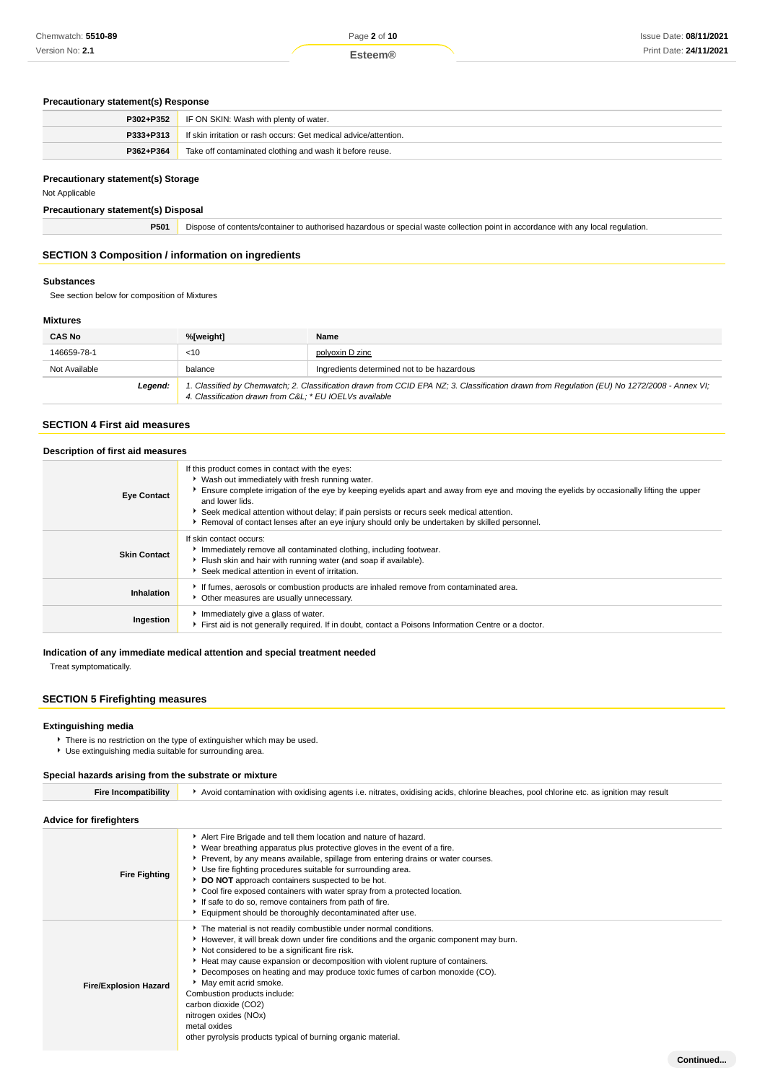## **Esteem®**

**Continued...**

## **Precautionary statement(s) Response**

|           | <b>P302+P352</b> IF ON SKIN: Wash with plenty of water.          |  |
|-----------|------------------------------------------------------------------|--|
| P333+P313 | If skin irritation or rash occurs: Get medical advice/attention. |  |
| P362+P364 | Take off contaminated clothing and wash it before reuse.         |  |

## **Precautionary statement(s) Storage**

Not Applicable

**Precautionary statement(s) Disposal**

**P501** Dispose of contents/container to authorised hazardous or special waste collection point in accordance with any local regulation.

## **SECTION 3 Composition / information on ingredients**

### **Substances**

See section below for composition of Mixtures

### **Mixtures**

| <b>CAS No</b> | %[weight]                                                                                                                                                                                              | Name                                       |
|---------------|--------------------------------------------------------------------------------------------------------------------------------------------------------------------------------------------------------|--------------------------------------------|
| 146659-78-1   | $<$ 10                                                                                                                                                                                                 | polyoxin D zinc                            |
| Not Available | balance                                                                                                                                                                                                | Ingredients determined not to be hazardous |
| Legend:       | 1. Classified by Chemwatch; 2. Classification drawn from CCID EPA NZ; 3. Classification drawn from Regulation (EU) No 1272/2008 - Annex VI;<br>4. Classification drawn from C&L: * EU IOELVs available |                                            |

## **SECTION 4 First aid measures**

| Description of first aid measures |                                                                                                                                                                                                                                                                                                                                                                                                                                                                    |  |
|-----------------------------------|--------------------------------------------------------------------------------------------------------------------------------------------------------------------------------------------------------------------------------------------------------------------------------------------------------------------------------------------------------------------------------------------------------------------------------------------------------------------|--|
| <b>Eye Contact</b>                | If this product comes in contact with the eyes:<br>• Wash out immediately with fresh running water.<br>Ensure complete irrigation of the eye by keeping eyelids apart and away from eye and moving the eyelids by occasionally lifting the upper<br>and lower lids.<br>Seek medical attention without delay; if pain persists or recurs seek medical attention.<br>▶ Removal of contact lenses after an eye injury should only be undertaken by skilled personnel. |  |
| <b>Skin Contact</b>               | If skin contact occurs:<br>Immediately remove all contaminated clothing, including footwear.<br>Filush skin and hair with running water (and soap if available).<br>Seek medical attention in event of irritation.                                                                                                                                                                                                                                                 |  |
| Inhalation                        | If fumes, aerosols or combustion products are inhaled remove from contaminated area.<br>• Other measures are usually unnecessary.                                                                                                                                                                                                                                                                                                                                  |  |
| Ingestion                         | Immediately give a glass of water.<br>First aid is not generally required. If in doubt, contact a Poisons Information Centre or a doctor.                                                                                                                                                                                                                                                                                                                          |  |

## **Indication of any immediate medical attention and special treatment needed**

Treat symptomatically.

## **SECTION 5 Firefighting measures**

## **Extinguishing media**

There is no restriction on the type of extinguisher which may be used.

Use extinguishing media suitable for surrounding area.

## **Special hazards arising from the substrate or mixture**

| <b>Fire Incompatibility</b>    | Avoid contamination with oxidising agents i.e. nitrates, oxidising acids, chlorine bleaches, pool chlorine etc. as ignition may result                                                                                                                                                                                                                                                                                                                                                                                                                                     |  |  |
|--------------------------------|----------------------------------------------------------------------------------------------------------------------------------------------------------------------------------------------------------------------------------------------------------------------------------------------------------------------------------------------------------------------------------------------------------------------------------------------------------------------------------------------------------------------------------------------------------------------------|--|--|
| <b>Advice for firefighters</b> |                                                                                                                                                                                                                                                                                                                                                                                                                                                                                                                                                                            |  |  |
| <b>Fire Fighting</b>           | Alert Fire Brigade and tell them location and nature of hazard.<br>► Wear breathing apparatus plus protective gloves in the event of a fire.<br>▶ Prevent, by any means available, spillage from entering drains or water courses.<br>▶ Use fire fighting procedures suitable for surrounding area.<br>DO NOT approach containers suspected to be hot.<br>• Cool fire exposed containers with water spray from a protected location.<br>If safe to do so, remove containers from path of fire.<br>Equipment should be thoroughly decontaminated after use.                 |  |  |
| <b>Fire/Explosion Hazard</b>   | The material is not readily combustible under normal conditions.<br>However, it will break down under fire conditions and the organic component may burn.<br>▶ Not considered to be a significant fire risk.<br>Heat may cause expansion or decomposition with violent rupture of containers.<br>▶ Decomposes on heating and may produce toxic fumes of carbon monoxide (CO).<br>• May emit acrid smoke.<br>Combustion products include:<br>carbon dioxide (CO2)<br>nitrogen oxides (NOx)<br>metal oxides<br>other pyrolysis products typical of burning organic material. |  |  |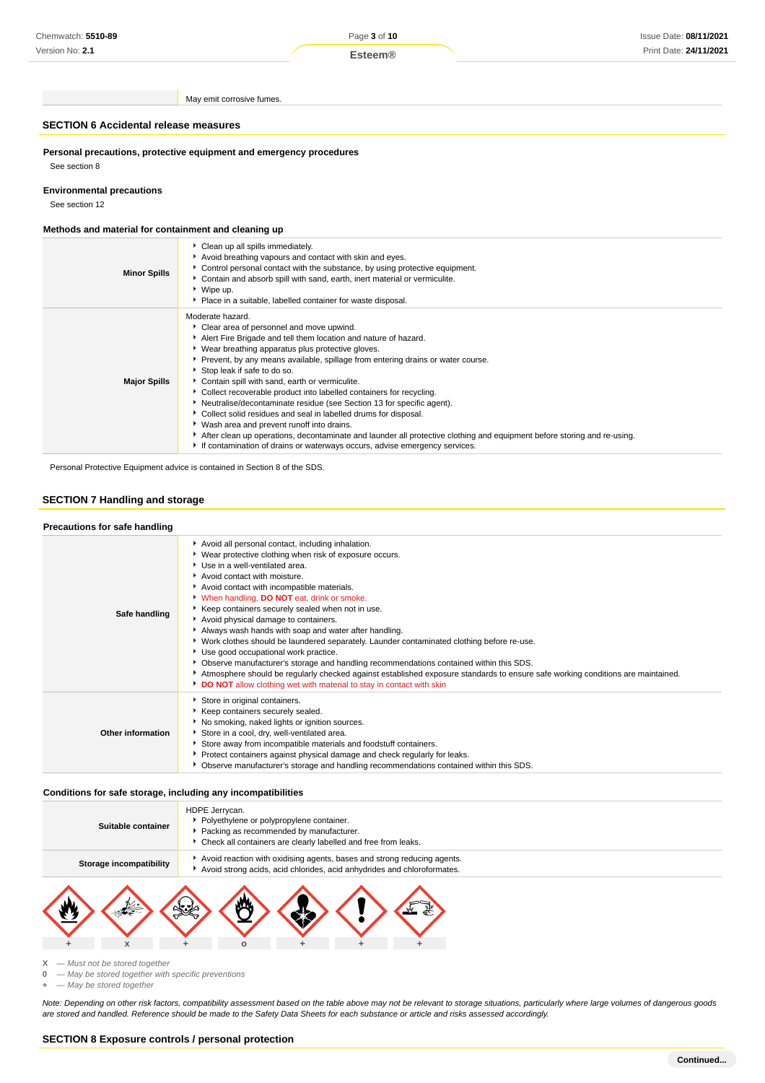Version No: **2.1**

Page **3** of **10 Esteem®**

May emit corrosive fumes.

## **SECTION 6 Accidental release measures**

**Personal precautions, protective equipment and emergency procedures**

See section 8

## **Environmental precautions**

See section 12

### **Methods and material for containment and cleaning up**

| <b>Minor Spills</b> | • Clean up all spills immediately.<br>Avoid breathing vapours and contact with skin and eyes.<br>Control personal contact with the substance, by using protective equipment.<br>Contain and absorb spill with sand, earth, inert material or vermiculite.<br>▶ Wipe up.<br>• Place in a suitable, labelled container for waste disposal.                                                                                                                                                                                                                                                                                                                                                                                                                                                                                                 |
|---------------------|------------------------------------------------------------------------------------------------------------------------------------------------------------------------------------------------------------------------------------------------------------------------------------------------------------------------------------------------------------------------------------------------------------------------------------------------------------------------------------------------------------------------------------------------------------------------------------------------------------------------------------------------------------------------------------------------------------------------------------------------------------------------------------------------------------------------------------------|
| <b>Major Spills</b> | Moderate hazard.<br>Clear area of personnel and move upwind.<br>Alert Fire Brigade and tell them location and nature of hazard.<br>▶ Wear breathing apparatus plus protective gloves.<br>▶ Prevent, by any means available, spillage from entering drains or water course.<br>Stop leak if safe to do so.<br>Contain spill with sand, earth or vermiculite.<br>• Collect recoverable product into labelled containers for recycling.<br>Neutralise/decontaminate residue (see Section 13 for specific agent).<br>Collect solid residues and seal in labelled drums for disposal.<br>▶ Wash area and prevent runoff into drains.<br>After clean up operations, decontaminate and launder all protective clothing and equipment before storing and re-using.<br>If contamination of drains or waterways occurs, advise emergency services. |

Personal Protective Equipment advice is contained in Section 8 of the SDS.

## **SECTION 7 Handling and storage**

## **Precautions for safe handling**

| Safe handling            | Avoid all personal contact, including inhalation.<br>▶ Wear protective clothing when risk of exposure occurs.<br>▶ Use in a well-ventilated area.<br>Avoid contact with moisture.<br>Avoid contact with incompatible materials.<br><b>When handling, DO NOT</b> eat, drink or smoke.<br>▶ Keep containers securely sealed when not in use.<br>Avoid physical damage to containers.<br>Always wash hands with soap and water after handling.<br>• Work clothes should be laundered separately. Launder contaminated clothing before re-use.<br>▶ Use good occupational work practice.<br>▶ Observe manufacturer's storage and handling recommendations contained within this SDS.<br>Atmosphere should be regularly checked against established exposure standards to ensure safe working conditions are maintained.<br>DO NOT allow clothing wet with material to stay in contact with skin |
|--------------------------|---------------------------------------------------------------------------------------------------------------------------------------------------------------------------------------------------------------------------------------------------------------------------------------------------------------------------------------------------------------------------------------------------------------------------------------------------------------------------------------------------------------------------------------------------------------------------------------------------------------------------------------------------------------------------------------------------------------------------------------------------------------------------------------------------------------------------------------------------------------------------------------------|
| <b>Other information</b> | Store in original containers.<br>▶ Keep containers securely sealed.<br>No smoking, naked lights or ignition sources.<br>Store in a cool, dry, well-ventilated area.<br>Store away from incompatible materials and foodstuff containers.<br>Protect containers against physical damage and check regularly for leaks.<br>► Observe manufacturer's storage and handling recommendations contained within this SDS.                                                                                                                                                                                                                                                                                                                                                                                                                                                                            |

## **Conditions for safe storage, including any incompatibilities**

| Suitable container      | HDPE Jerrycan.<br>Polyethylene or polypropylene container.<br>Packing as recommended by manufacturer.<br>• Check all containers are clearly labelled and free from leaks. |
|-------------------------|---------------------------------------------------------------------------------------------------------------------------------------------------------------------------|
| Storage incompatibility | Avoid reaction with oxidising agents, bases and strong reducing agents.<br>Avoid strong acids, acid chlorides, acid anhydrides and chloroformates.                        |
|                         |                                                                                                                                                                           |

**X** — Must not be stored together

**0** — May be stored together with specific preventions

 $-$  May be stored together

Note: Depending on other risk factors, compatibility assessment based on the table above may not be relevant to storage situations, particularly where large volumes of dangerous goods are stored and handled. Reference should be made to the Safety Data Sheets for each substance or article and risks assessed accordingly.

**+ x + o + + +**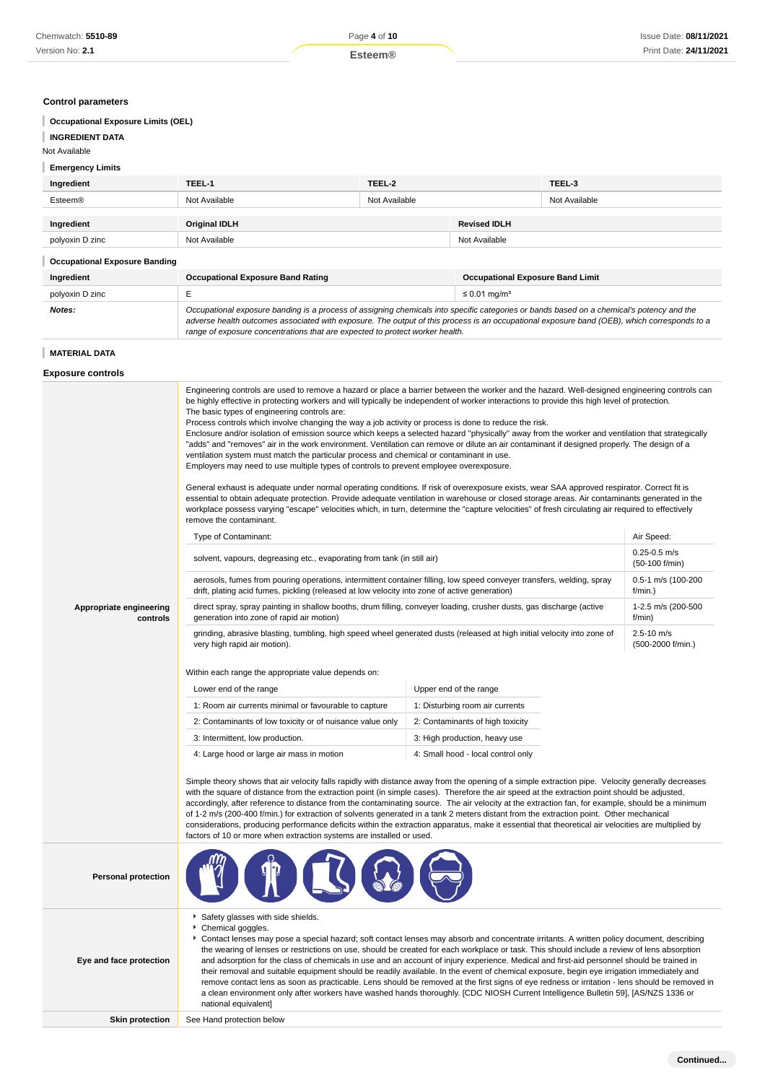## **Control parameters**

| <b>Occupational Exposure Limits (OEL)</b> |                                                                                                                                                                                                                                                                                                                                                                                                                                                                                                                                                                                                                                                                                                                                                                                                                                                                                                                                                                                                                                                                                                                                                                                                                                                                                |               |                                         |               |                                     |
|-------------------------------------------|--------------------------------------------------------------------------------------------------------------------------------------------------------------------------------------------------------------------------------------------------------------------------------------------------------------------------------------------------------------------------------------------------------------------------------------------------------------------------------------------------------------------------------------------------------------------------------------------------------------------------------------------------------------------------------------------------------------------------------------------------------------------------------------------------------------------------------------------------------------------------------------------------------------------------------------------------------------------------------------------------------------------------------------------------------------------------------------------------------------------------------------------------------------------------------------------------------------------------------------------------------------------------------|---------------|-----------------------------------------|---------------|-------------------------------------|
| <b>INGREDIENT DATA</b>                    |                                                                                                                                                                                                                                                                                                                                                                                                                                                                                                                                                                                                                                                                                                                                                                                                                                                                                                                                                                                                                                                                                                                                                                                                                                                                                |               |                                         |               |                                     |
| Not Available                             |                                                                                                                                                                                                                                                                                                                                                                                                                                                                                                                                                                                                                                                                                                                                                                                                                                                                                                                                                                                                                                                                                                                                                                                                                                                                                |               |                                         |               |                                     |
| <b>Emergency Limits</b>                   |                                                                                                                                                                                                                                                                                                                                                                                                                                                                                                                                                                                                                                                                                                                                                                                                                                                                                                                                                                                                                                                                                                                                                                                                                                                                                |               |                                         |               |                                     |
| Ingredient                                | TEEL-1                                                                                                                                                                                                                                                                                                                                                                                                                                                                                                                                                                                                                                                                                                                                                                                                                                                                                                                                                                                                                                                                                                                                                                                                                                                                         | TEEL-2        |                                         | TEEL-3        |                                     |
| <b>Esteem®</b>                            | Not Available                                                                                                                                                                                                                                                                                                                                                                                                                                                                                                                                                                                                                                                                                                                                                                                                                                                                                                                                                                                                                                                                                                                                                                                                                                                                  | Not Available |                                         | Not Available |                                     |
|                                           |                                                                                                                                                                                                                                                                                                                                                                                                                                                                                                                                                                                                                                                                                                                                                                                                                                                                                                                                                                                                                                                                                                                                                                                                                                                                                |               | <b>Revised IDLH</b>                     |               |                                     |
| Ingredient<br>polyoxin D zinc             | Original IDLH<br>Not Available                                                                                                                                                                                                                                                                                                                                                                                                                                                                                                                                                                                                                                                                                                                                                                                                                                                                                                                                                                                                                                                                                                                                                                                                                                                 |               | Not Available                           |               |                                     |
|                                           |                                                                                                                                                                                                                                                                                                                                                                                                                                                                                                                                                                                                                                                                                                                                                                                                                                                                                                                                                                                                                                                                                                                                                                                                                                                                                |               |                                         |               |                                     |
| <b>Occupational Exposure Banding</b>      |                                                                                                                                                                                                                                                                                                                                                                                                                                                                                                                                                                                                                                                                                                                                                                                                                                                                                                                                                                                                                                                                                                                                                                                                                                                                                |               |                                         |               |                                     |
| Ingredient                                | <b>Occupational Exposure Band Rating</b>                                                                                                                                                                                                                                                                                                                                                                                                                                                                                                                                                                                                                                                                                                                                                                                                                                                                                                                                                                                                                                                                                                                                                                                                                                       |               | <b>Occupational Exposure Band Limit</b> |               |                                     |
| polyoxin D zinc                           | Е                                                                                                                                                                                                                                                                                                                                                                                                                                                                                                                                                                                                                                                                                                                                                                                                                                                                                                                                                                                                                                                                                                                                                                                                                                                                              |               | $\leq$ 0.01 mg/m <sup>3</sup>           |               |                                     |
| Notes:                                    | Occupational exposure banding is a process of assigning chemicals into specific categories or bands based on a chemical's potency and the<br>adverse health outcomes associated with exposure. The output of this process is an occupational exposure band (OEB), which corresponds to a<br>range of exposure concentrations that are expected to protect worker health.                                                                                                                                                                                                                                                                                                                                                                                                                                                                                                                                                                                                                                                                                                                                                                                                                                                                                                       |               |                                         |               |                                     |
| <b>MATERIAL DATA</b>                      |                                                                                                                                                                                                                                                                                                                                                                                                                                                                                                                                                                                                                                                                                                                                                                                                                                                                                                                                                                                                                                                                                                                                                                                                                                                                                |               |                                         |               |                                     |
| <b>Exposure controls</b>                  |                                                                                                                                                                                                                                                                                                                                                                                                                                                                                                                                                                                                                                                                                                                                                                                                                                                                                                                                                                                                                                                                                                                                                                                                                                                                                |               |                                         |               |                                     |
|                                           | be highly effective in protecting workers and will typically be independent of worker interactions to provide this high level of protection.<br>The basic types of engineering controls are:<br>Process controls which involve changing the way a job activity or process is done to reduce the risk.<br>Enclosure and/or isolation of emission source which keeps a selected hazard "physically" away from the worker and ventilation that strategically<br>"adds" and "removes" air in the work environment. Ventilation can remove or dilute an air contaminant if designed properly. The design of a<br>ventilation system must match the particular process and chemical or contaminant in use.<br>Employers may need to use multiple types of controls to prevent employee overexposure.<br>General exhaust is adequate under normal operating conditions. If risk of overexposure exists, wear SAA approved respirator. Correct fit is<br>essential to obtain adequate protection. Provide adequate ventilation in warehouse or closed storage areas. Air contaminants generated in the<br>workplace possess varying "escape" velocities which, in turn, determine the "capture velocities" of fresh circulating air required to effectively<br>remove the contaminant. |               |                                         |               |                                     |
|                                           | Type of Contaminant:                                                                                                                                                                                                                                                                                                                                                                                                                                                                                                                                                                                                                                                                                                                                                                                                                                                                                                                                                                                                                                                                                                                                                                                                                                                           |               |                                         |               | Air Speed:                          |
|                                           | solvent, vapours, degreasing etc., evaporating from tank (in still air)                                                                                                                                                                                                                                                                                                                                                                                                                                                                                                                                                                                                                                                                                                                                                                                                                                                                                                                                                                                                                                                                                                                                                                                                        |               |                                         |               | $0.25 - 0.5$ m/s<br>(50-100 f/min)  |
|                                           | 0.5-1 m/s (100-200<br>aerosols, fumes from pouring operations, intermittent container filling, low speed conveyer transfers, welding, spray<br>drift, plating acid fumes, pickling (released at low velocity into zone of active generation)<br>f/min.)                                                                                                                                                                                                                                                                                                                                                                                                                                                                                                                                                                                                                                                                                                                                                                                                                                                                                                                                                                                                                        |               |                                         |               |                                     |
| Appropriate engineering<br>controls       | direct spray, spray painting in shallow booths, drum filling, conveyer loading, crusher dusts, gas discharge (active<br>1-2.5 m/s (200-500<br>generation into zone of rapid air motion)<br>f/min)                                                                                                                                                                                                                                                                                                                                                                                                                                                                                                                                                                                                                                                                                                                                                                                                                                                                                                                                                                                                                                                                              |               |                                         |               |                                     |
|                                           | grinding, abrasive blasting, tumbling, high speed wheel generated dusts (released at high initial velocity into zone of<br>very high rapid air motion).                                                                                                                                                                                                                                                                                                                                                                                                                                                                                                                                                                                                                                                                                                                                                                                                                                                                                                                                                                                                                                                                                                                        |               |                                         |               | $2.5 - 10$ m/s<br>(500-2000 f/min.) |
|                                           | Within each range the appropriate value depends on:                                                                                                                                                                                                                                                                                                                                                                                                                                                                                                                                                                                                                                                                                                                                                                                                                                                                                                                                                                                                                                                                                                                                                                                                                            |               |                                         |               |                                     |
|                                           | Lower end of the range                                                                                                                                                                                                                                                                                                                                                                                                                                                                                                                                                                                                                                                                                                                                                                                                                                                                                                                                                                                                                                                                                                                                                                                                                                                         |               | Upper end of the range                  |               |                                     |
|                                           | 1: Room air currents minimal or favourable to capture                                                                                                                                                                                                                                                                                                                                                                                                                                                                                                                                                                                                                                                                                                                                                                                                                                                                                                                                                                                                                                                                                                                                                                                                                          |               | 1: Disturbing room air currents         |               |                                     |
|                                           | 2: Contaminants of low toxicity or of nuisance value only                                                                                                                                                                                                                                                                                                                                                                                                                                                                                                                                                                                                                                                                                                                                                                                                                                                                                                                                                                                                                                                                                                                                                                                                                      |               | 2: Contaminants of high toxicity        |               |                                     |
|                                           | 3: Intermittent, low production.                                                                                                                                                                                                                                                                                                                                                                                                                                                                                                                                                                                                                                                                                                                                                                                                                                                                                                                                                                                                                                                                                                                                                                                                                                               |               | 3: High production, heavy use           |               |                                     |
|                                           | 4: Large hood or large air mass in motion                                                                                                                                                                                                                                                                                                                                                                                                                                                                                                                                                                                                                                                                                                                                                                                                                                                                                                                                                                                                                                                                                                                                                                                                                                      |               | 4: Small hood - local control only      |               |                                     |
|                                           | Simple theory shows that air velocity falls rapidly with distance away from the opening of a simple extraction pipe. Velocity generally decreases<br>with the square of distance from the extraction point (in simple cases). Therefore the air speed at the extraction point should be adjusted,<br>accordingly, after reference to distance from the contaminating source. The air velocity at the extraction fan, for example, should be a minimum<br>of 1-2 m/s (200-400 f/min.) for extraction of solvents generated in a tank 2 meters distant from the extraction point. Other mechanical<br>considerations, producing performance deficits within the extraction apparatus, make it essential that theoretical air velocities are multiplied by<br>factors of 10 or more when extraction systems are installed or used.                                                                                                                                                                                                                                                                                                                                                                                                                                                |               |                                         |               |                                     |
| <b>Personal protection</b>                |                                                                                                                                                                                                                                                                                                                                                                                                                                                                                                                                                                                                                                                                                                                                                                                                                                                                                                                                                                                                                                                                                                                                                                                                                                                                                |               |                                         |               |                                     |
| Eye and face protection                   | Safety glasses with side shields.<br>Chemical goggles.<br>Contact lenses may pose a special hazard; soft contact lenses may absorb and concentrate irritants. A written policy document, describing<br>the wearing of lenses or restrictions on use, should be created for each workplace or task. This should include a review of lens absorption<br>and adsorption for the class of chemicals in use and an account of injury experience. Medical and first-aid personnel should be trained in<br>their removal and suitable equipment should be readily available. In the event of chemical exposure, begin eye irrigation immediately and<br>remove contact lens as soon as practicable. Lens should be removed at the first signs of eye redness or irritation - lens should be removed in<br>a clean environment only after workers have washed hands thoroughly. [CDC NIOSH Current Intelligence Bulletin 59], [AS/NZS 1336 or<br>national equivalent]                                                                                                                                                                                                                                                                                                                  |               |                                         |               |                                     |
| <b>Skin protection</b>                    | See Hand protection below                                                                                                                                                                                                                                                                                                                                                                                                                                                                                                                                                                                                                                                                                                                                                                                                                                                                                                                                                                                                                                                                                                                                                                                                                                                      |               |                                         |               |                                     |

**Continued...**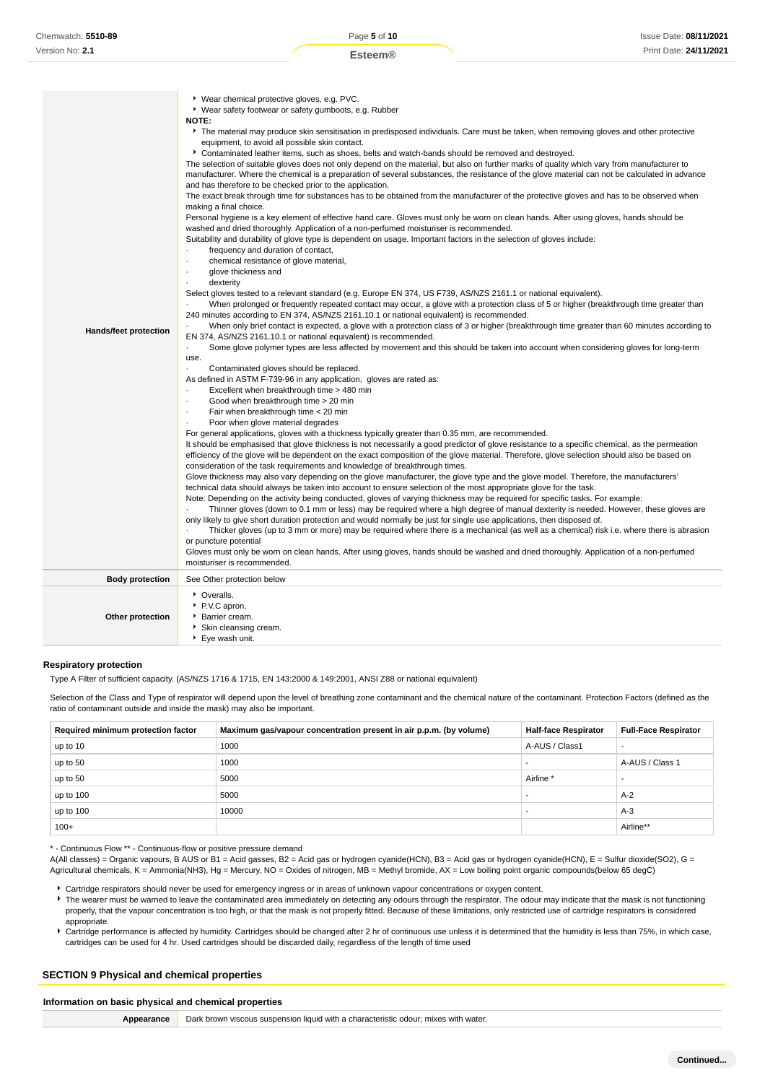| Hands/feet protection  | ▶ Wear chemical protective gloves, e.g. PVC.<br>• Wear safety footwear or safety gumboots, e.g. Rubber<br>NOTE:<br>The material may produce skin sensitisation in predisposed individuals. Care must be taken, when removing gloves and other protective<br>equipment, to avoid all possible skin contact.<br>Contaminated leather items, such as shoes, belts and watch-bands should be removed and destroyed.<br>The selection of suitable gloves does not only depend on the material, but also on further marks of quality which vary from manufacturer to<br>manufacturer. Where the chemical is a preparation of several substances, the resistance of the glove material can not be calculated in advance<br>and has therefore to be checked prior to the application.<br>The exact break through time for substances has to be obtained from the manufacturer of the protective gloves and has to be observed when<br>making a final choice.<br>Personal hygiene is a key element of effective hand care. Gloves must only be worn on clean hands. After using gloves, hands should be<br>washed and dried thoroughly. Application of a non-perfumed moisturiser is recommended.<br>Suitability and durability of glove type is dependent on usage. Important factors in the selection of gloves include:<br>frequency and duration of contact,<br>$\cdot$<br>chemical resistance of glove material,<br>$\cdot$<br>glove thickness and<br>$\cdot$<br>dexterity<br>Select gloves tested to a relevant standard (e.g. Europe EN 374, US F739, AS/NZS 2161.1 or national equivalent).<br>When prolonged or frequently repeated contact may occur, a glove with a protection class of 5 or higher (breakthrough time greater than<br>240 minutes according to EN 374, AS/NZS 2161.10.1 or national equivalent) is recommended.<br>When only brief contact is expected, a glove with a protection class of 3 or higher (breakthrough time greater than 60 minutes according to<br>EN 374, AS/NZS 2161.10.1 or national equivalent) is recommended.<br>Some glove polymer types are less affected by movement and this should be taken into account when considering gloves for long-term<br>$\cdot$<br>use.<br>Contaminated gloves should be replaced.<br>As defined in ASTM F-739-96 in any application, gloves are rated as:<br>Excellent when breakthrough time > 480 min<br>$\blacksquare$<br>Good when breakthrough time > 20 min<br>Fair when breakthrough time < 20 min<br>$\cdot$<br>Poor when glove material degrades<br>For general applications, gloves with a thickness typically greater than 0.35 mm, are recommended.<br>It should be emphasised that glove thickness is not necessarily a good predictor of glove resistance to a specific chemical, as the permeation<br>efficiency of the glove will be dependent on the exact composition of the glove material. Therefore, glove selection should also be based on<br>consideration of the task requirements and knowledge of breakthrough times.<br>Glove thickness may also vary depending on the glove manufacturer, the glove type and the glove model. Therefore, the manufacturers'<br>technical data should always be taken into account to ensure selection of the most appropriate glove for the task.<br>Note: Depending on the activity being conducted, gloves of varying thickness may be required for specific tasks. For example:<br>Thinner gloves (down to 0.1 mm or less) may be required where a high degree of manual dexterity is needed. However, these gloves are<br>only likely to give short duration protection and would normally be just for single use applications, then disposed of.<br>Thicker gloves (up to 3 mm or more) may be required where there is a mechanical (as well as a chemical) risk i.e. where there is abrasion<br>or puncture potential<br>Gloves must only be worn on clean hands. After using gloves, hands should be washed and dried thoroughly. Application of a non-perfumed |
|------------------------|-------------------------------------------------------------------------------------------------------------------------------------------------------------------------------------------------------------------------------------------------------------------------------------------------------------------------------------------------------------------------------------------------------------------------------------------------------------------------------------------------------------------------------------------------------------------------------------------------------------------------------------------------------------------------------------------------------------------------------------------------------------------------------------------------------------------------------------------------------------------------------------------------------------------------------------------------------------------------------------------------------------------------------------------------------------------------------------------------------------------------------------------------------------------------------------------------------------------------------------------------------------------------------------------------------------------------------------------------------------------------------------------------------------------------------------------------------------------------------------------------------------------------------------------------------------------------------------------------------------------------------------------------------------------------------------------------------------------------------------------------------------------------------------------------------------------------------------------------------------------------------------------------------------------------------------------------------------------------------------------------------------------------------------------------------------------------------------------------------------------------------------------------------------------------------------------------------------------------------------------------------------------------------------------------------------------------------------------------------------------------------------------------------------------------------------------------------------------------------------------------------------------------------------------------------------------------------------------------------------------------------------------------------------------------------------------------------------------------------------------------------------------------------------------------------------------------------------------------------------------------------------------------------------------------------------------------------------------------------------------------------------------------------------------------------------------------------------------------------------------------------------------------------------------------------------------------------------------------------------------------------------------------------------------------------------------------------------------------------------------------------------------------------------------------------------------------------------------------------------------------------------------------------------------------------------------------------------------------------------------------------------------------------------------------------------------------------------------------------------------------------------------------------------------------------------------------------------------------------------------------------------------------------------------------------------------------------------------------------------------------------------|
|                        | moisturiser is recommended.                                                                                                                                                                                                                                                                                                                                                                                                                                                                                                                                                                                                                                                                                                                                                                                                                                                                                                                                                                                                                                                                                                                                                                                                                                                                                                                                                                                                                                                                                                                                                                                                                                                                                                                                                                                                                                                                                                                                                                                                                                                                                                                                                                                                                                                                                                                                                                                                                                                                                                                                                                                                                                                                                                                                                                                                                                                                                                                                                                                                                                                                                                                                                                                                                                                                                                                                                                                                                                                                                                                                                                                                                                                                                                                                                                                                                                                                                                                                                                                 |
| <b>Body protection</b> | See Other protection below                                                                                                                                                                                                                                                                                                                                                                                                                                                                                                                                                                                                                                                                                                                                                                                                                                                                                                                                                                                                                                                                                                                                                                                                                                                                                                                                                                                                                                                                                                                                                                                                                                                                                                                                                                                                                                                                                                                                                                                                                                                                                                                                                                                                                                                                                                                                                                                                                                                                                                                                                                                                                                                                                                                                                                                                                                                                                                                                                                                                                                                                                                                                                                                                                                                                                                                                                                                                                                                                                                                                                                                                                                                                                                                                                                                                                                                                                                                                                                                  |
| Other protection       | • Overalls.<br>P.V.C apron.<br>Barrier cream.<br>Skin cleansing cream.<br>▶ Eye wash unit.                                                                                                                                                                                                                                                                                                                                                                                                                                                                                                                                                                                                                                                                                                                                                                                                                                                                                                                                                                                                                                                                                                                                                                                                                                                                                                                                                                                                                                                                                                                                                                                                                                                                                                                                                                                                                                                                                                                                                                                                                                                                                                                                                                                                                                                                                                                                                                                                                                                                                                                                                                                                                                                                                                                                                                                                                                                                                                                                                                                                                                                                                                                                                                                                                                                                                                                                                                                                                                                                                                                                                                                                                                                                                                                                                                                                                                                                                                                  |

#### **Respiratory protection**

Type A Filter of sufficient capacity. (AS/NZS 1716 & 1715, EN 143:2000 & 149:2001, ANSI Z88 or national equivalent)

Selection of the Class and Type of respirator will depend upon the level of breathing zone contaminant and the chemical nature of the contaminant. Protection Factors (defined as the ratio of contaminant outside and inside the mask) may also be important.

| Required minimum protection factor | Maximum gas/vapour concentration present in air p.p.m. (by volume) | <b>Half-face Respirator</b> | <b>Full-Face Respirator</b> |
|------------------------------------|--------------------------------------------------------------------|-----------------------------|-----------------------------|
| up to 10                           | 1000                                                               | A-AUS / Class1              |                             |
| up to 50                           | 1000                                                               |                             | A-AUS / Class 1             |
| up to 50                           | 5000                                                               | Airline *                   |                             |
| up to $100$                        | 5000                                                               |                             | $A-2$                       |
| up to 100                          | 10000                                                              |                             | $A-3$                       |
| $100+$                             |                                                                    |                             | Airline**                   |

\* - Continuous Flow \*\* - Continuous-flow or positive pressure demand

A(All classes) = Organic vapours, B AUS or B1 = Acid gasses, B2 = Acid gas or hydrogen cyanide(HCN), B3 = Acid gas or hydrogen cyanide(HCN), E = Sulfur dioxide(SO2), G = Agricultural chemicals, K = Ammonia(NH3), Hg = Mercury, NO = Oxides of nitrogen, MB = Methyl bromide, AX = Low boiling point organic compounds(below 65 degC)

- Cartridge respirators should never be used for emergency ingress or in areas of unknown vapour concentrations or oxygen content.
- Fine wearer must be warned to leave the contaminated area immediately on detecting any odours through the respirator. The odour may indicate that the mask is not functioning properly, that the vapour concentration is too high, or that the mask is not properly fitted. Because of these limitations, only restricted use of cartridge respirators is considered appropriate.
- Cartridge performance is affected by humidity. Cartridges should be changed after 2 hr of continuous use unless it is determined that the humidity is less than 75%, in which case, cartridges can be used for 4 hr. Used cartridges should be discarded daily, regardless of the length of time used

### **SECTION 9 Physical and chemical properties**

**Information on basic physical and chemical properties**

**Appearance** Dark brown viscous suspension liquid with a characteristic odour; mixes with water.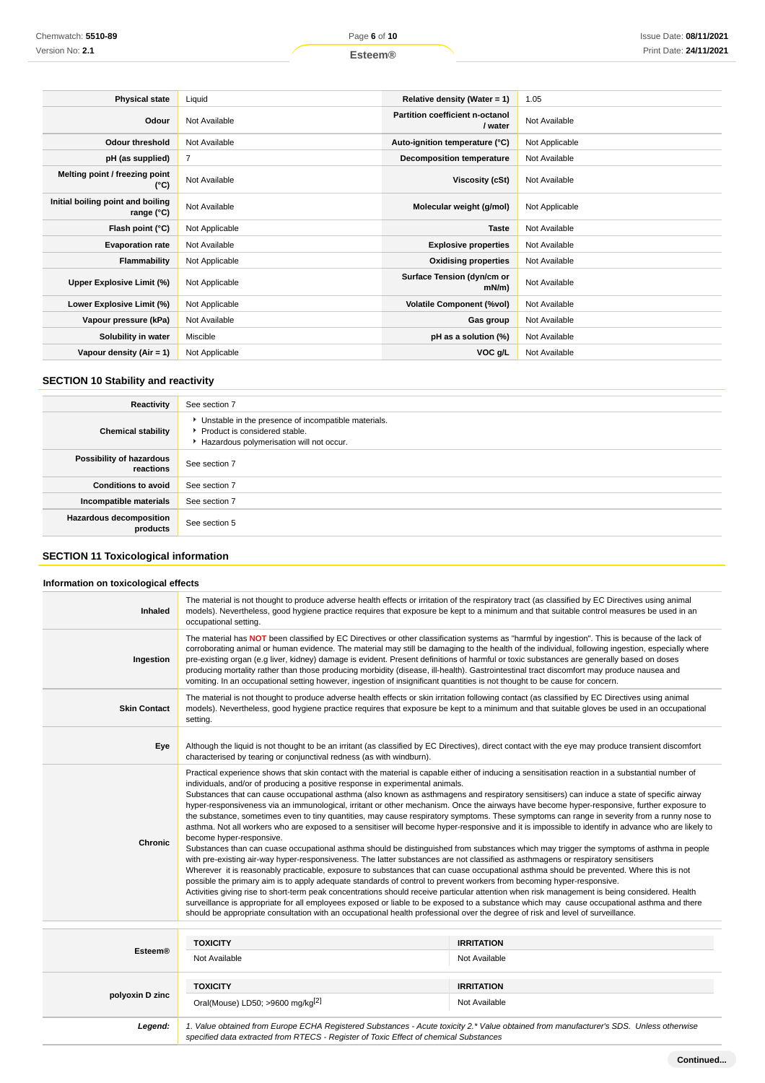| <b>Physical state</b>                           | Liquid         | Relative density (Water = $1$ )            | 1.05           |
|-------------------------------------------------|----------------|--------------------------------------------|----------------|
| Odour                                           | Not Available  | Partition coefficient n-octanol<br>/ water | Not Available  |
| Odour threshold                                 | Not Available  | Auto-ignition temperature (°C)             | Not Applicable |
| pH (as supplied)                                | $\overline{7}$ | Decomposition temperature                  | Not Available  |
| Melting point / freezing point<br>(°C)          | Not Available  | Viscosity (cSt)                            | Not Available  |
| Initial boiling point and boiling<br>range (°C) | Not Available  | Molecular weight (g/mol)                   | Not Applicable |
| Flash point (°C)                                | Not Applicable | <b>Taste</b>                               | Not Available  |
| <b>Evaporation rate</b>                         | Not Available  | <b>Explosive properties</b>                | Not Available  |
| Flammability                                    | Not Applicable | <b>Oxidising properties</b>                | Not Available  |
| Upper Explosive Limit (%)                       | Not Applicable | Surface Tension (dyn/cm or<br>mN/m         | Not Available  |
| Lower Explosive Limit (%)                       | Not Applicable | <b>Volatile Component (%vol)</b>           | Not Available  |
| Vapour pressure (kPa)                           | Not Available  | Gas group                                  | Not Available  |
| Solubility in water                             | Miscible       | pH as a solution (%)                       | Not Available  |
| Vapour density (Air = 1)                        | Not Applicable | VOC g/L                                    | Not Available  |

## **SECTION 10 Stability and reactivity**

| Reactivity                            | See section 7                                                                                                                      |
|---------------------------------------|------------------------------------------------------------------------------------------------------------------------------------|
| <b>Chemical stability</b>             | Unstable in the presence of incompatible materials.<br>▶ Product is considered stable.<br>Hazardous polymerisation will not occur. |
| Possibility of hazardous<br>reactions | See section 7                                                                                                                      |
| <b>Conditions to avoid</b>            | See section 7                                                                                                                      |
| Incompatible materials                | See section 7                                                                                                                      |
| Hazardous decomposition<br>products   | See section 5                                                                                                                      |

## **SECTION 11 Toxicological information**

## **Information on toxicological effects**

| Inhaled             | occupational setting.                                                                                     | The material is not thought to produce adverse health effects or irritation of the respiratory tract (as classified by EC Directives using animal<br>models). Nevertheless, good hygiene practice requires that exposure be kept to a minimum and that suitable control measures be used in an                                                                                                                                                                                                                                                                                                                                                                                                                                                                                                                                                                                                                                                                                                                                                                                                                                                                                                                                                                                                                                                                                                                                                                                                                                                                                                                                                                                                                                          |
|---------------------|-----------------------------------------------------------------------------------------------------------|-----------------------------------------------------------------------------------------------------------------------------------------------------------------------------------------------------------------------------------------------------------------------------------------------------------------------------------------------------------------------------------------------------------------------------------------------------------------------------------------------------------------------------------------------------------------------------------------------------------------------------------------------------------------------------------------------------------------------------------------------------------------------------------------------------------------------------------------------------------------------------------------------------------------------------------------------------------------------------------------------------------------------------------------------------------------------------------------------------------------------------------------------------------------------------------------------------------------------------------------------------------------------------------------------------------------------------------------------------------------------------------------------------------------------------------------------------------------------------------------------------------------------------------------------------------------------------------------------------------------------------------------------------------------------------------------------------------------------------------------|
| Ingestion           |                                                                                                           | The material has NOT been classified by EC Directives or other classification systems as "harmful by ingestion". This is because of the lack of<br>corroborating animal or human evidence. The material may still be damaging to the health of the individual, following ingestion, especially where<br>pre-existing organ (e.g liver, kidney) damage is evident. Present definitions of harmful or toxic substances are generally based on doses<br>producing mortality rather than those producing morbidity (disease, ill-health). Gastrointestinal tract discomfort may produce nausea and<br>vomiting. In an occupational setting however, ingestion of insignificant quantities is not thought to be cause for concern.                                                                                                                                                                                                                                                                                                                                                                                                                                                                                                                                                                                                                                                                                                                                                                                                                                                                                                                                                                                                           |
| <b>Skin Contact</b> | setting.                                                                                                  | The material is not thought to produce adverse health effects or skin irritation following contact (as classified by EC Directives using animal<br>models). Nevertheless, good hygiene practice requires that exposure be kept to a minimum and that suitable gloves be used in an occupational                                                                                                                                                                                                                                                                                                                                                                                                                                                                                                                                                                                                                                                                                                                                                                                                                                                                                                                                                                                                                                                                                                                                                                                                                                                                                                                                                                                                                                         |
| Eye                 | characterised by tearing or conjunctival redness (as with windburn).                                      | Although the liquid is not thought to be an irritant (as classified by EC Directives), direct contact with the eye may produce transient discomfort                                                                                                                                                                                                                                                                                                                                                                                                                                                                                                                                                                                                                                                                                                                                                                                                                                                                                                                                                                                                                                                                                                                                                                                                                                                                                                                                                                                                                                                                                                                                                                                     |
| <b>Chronic</b>      | individuals, and/or of producing a positive response in experimental animals.<br>become hyper-responsive. | Practical experience shows that skin contact with the material is capable either of inducing a sensitisation reaction in a substantial number of<br>Substances that can cause occupational asthma (also known as asthmagens and respiratory sensitisers) can induce a state of specific airway<br>hyper-responsiveness via an immunological, irritant or other mechanism. Once the airways have become hyper-responsive, further exposure to<br>the substance, sometimes even to tiny quantities, may cause respiratory symptoms. These symptoms can range in severity from a runny nose to<br>asthma. Not all workers who are exposed to a sensitiser will become hyper-responsive and it is impossible to identify in advance who are likely to<br>Substances than can cuase occupational asthma should be distinguished from substances which may trigger the symptoms of asthma in people<br>with pre-existing air-way hyper-responsiveness. The latter substances are not classified as asthmagens or respiratory sensitisers<br>Wherever it is reasonably practicable, exposure to substances that can cuase occupational asthma should be prevented. Where this is not<br>possible the primary aim is to apply adequate standards of control to prevent workers from becoming hyper-responsive.<br>Activities giving rise to short-term peak concentrations should receive particular attention when risk management is being considered. Health<br>surveillance is appropriate for all employees exposed or liable to be exposed to a substance which may cause occupational asthma and there<br>should be appropriate consultation with an occupational health professional over the degree of risk and level of surveillance. |
|                     | <b>TOXICITY</b>                                                                                           | <b>IRRITATION</b>                                                                                                                                                                                                                                                                                                                                                                                                                                                                                                                                                                                                                                                                                                                                                                                                                                                                                                                                                                                                                                                                                                                                                                                                                                                                                                                                                                                                                                                                                                                                                                                                                                                                                                                       |
| <b>Esteem®</b>      | Not Available                                                                                             | Not Available                                                                                                                                                                                                                                                                                                                                                                                                                                                                                                                                                                                                                                                                                                                                                                                                                                                                                                                                                                                                                                                                                                                                                                                                                                                                                                                                                                                                                                                                                                                                                                                                                                                                                                                           |
|                     | <b>TOXICITY</b>                                                                                           | <b>IRRITATION</b>                                                                                                                                                                                                                                                                                                                                                                                                                                                                                                                                                                                                                                                                                                                                                                                                                                                                                                                                                                                                                                                                                                                                                                                                                                                                                                                                                                                                                                                                                                                                                                                                                                                                                                                       |
| polyoxin D zinc     | Oral(Mouse) LD50; >9600 mg/kg <sup>[2]</sup>                                                              | Not Available                                                                                                                                                                                                                                                                                                                                                                                                                                                                                                                                                                                                                                                                                                                                                                                                                                                                                                                                                                                                                                                                                                                                                                                                                                                                                                                                                                                                                                                                                                                                                                                                                                                                                                                           |
| Legend:             |                                                                                                           | 1. Value obtained from Europe ECHA Registered Substances - Acute toxicity 2.* Value obtained from manufacturer's SDS. Unless otherwise                                                                                                                                                                                                                                                                                                                                                                                                                                                                                                                                                                                                                                                                                                                                                                                                                                                                                                                                                                                                                                                                                                                                                                                                                                                                                                                                                                                                                                                                                                                                                                                                  |

specified data extracted from RTECS - Register of Toxic Effect of chemical Substances

**Continued...**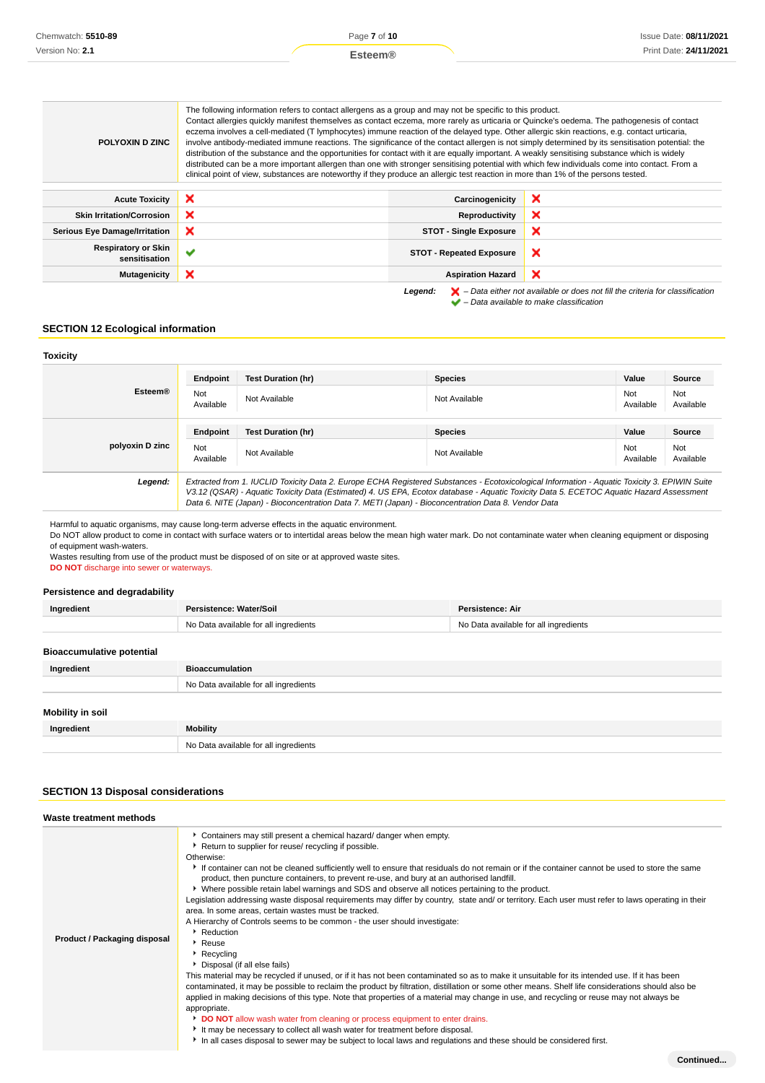| POLYOXIN D ZINC                             | The following information refers to contact allergens as a group and may not be specific to this product.<br>Contact allergies quickly manifest themselves as contact eczema, more rarely as urticaria or Quincke's oedema. The pathogenesis of contact<br>eczema involves a cell-mediated (T lymphocytes) immune reaction of the delayed type. Other allergic skin reactions, e.g. contact urticaria,<br>involve antibody-mediated immune reactions. The significance of the contact allergen is not simply determined by its sensitisation potential: the<br>distribution of the substance and the opportunities for contact with it are equally important. A weakly sensitising substance which is widely<br>distributed can be a more important allergen than one with stronger sensitising potential with which few individuals come into contact. From a<br>clinical point of view, substances are noteworthy if they produce an allergic test reaction in more than 1% of the persons tested. |                                 |                                                                                                    |
|---------------------------------------------|------------------------------------------------------------------------------------------------------------------------------------------------------------------------------------------------------------------------------------------------------------------------------------------------------------------------------------------------------------------------------------------------------------------------------------------------------------------------------------------------------------------------------------------------------------------------------------------------------------------------------------------------------------------------------------------------------------------------------------------------------------------------------------------------------------------------------------------------------------------------------------------------------------------------------------------------------------------------------------------------------|---------------------------------|----------------------------------------------------------------------------------------------------|
|                                             |                                                                                                                                                                                                                                                                                                                                                                                                                                                                                                                                                                                                                                                                                                                                                                                                                                                                                                                                                                                                      |                                 |                                                                                                    |
| <b>Acute Toxicity</b>                       | ×                                                                                                                                                                                                                                                                                                                                                                                                                                                                                                                                                                                                                                                                                                                                                                                                                                                                                                                                                                                                    | Carcinogenicity                 | ×                                                                                                  |
| <b>Skin Irritation/Corrosion</b>            | ×                                                                                                                                                                                                                                                                                                                                                                                                                                                                                                                                                                                                                                                                                                                                                                                                                                                                                                                                                                                                    | Reproductivity                  | ×                                                                                                  |
| <b>Serious Eye Damage/Irritation</b>        | ×                                                                                                                                                                                                                                                                                                                                                                                                                                                                                                                                                                                                                                                                                                                                                                                                                                                                                                                                                                                                    | <b>STOT - Single Exposure</b>   | ×                                                                                                  |
| <b>Respiratory or Skin</b><br>sensitisation | ✔                                                                                                                                                                                                                                                                                                                                                                                                                                                                                                                                                                                                                                                                                                                                                                                                                                                                                                                                                                                                    | <b>STOT - Repeated Exposure</b> | ×                                                                                                  |
| <b>Mutagenicity</b>                         | ×                                                                                                                                                                                                                                                                                                                                                                                                                                                                                                                                                                                                                                                                                                                                                                                                                                                                                                                                                                                                    | <b>Aspiration Hazard</b>        | ×                                                                                                  |
|                                             |                                                                                                                                                                                                                                                                                                                                                                                                                                                                                                                                                                                                                                                                                                                                                                                                                                                                                                                                                                                                      | Legend:                         | $\blacktriangleright$ - Data either not available or does not fill the criteria for classification |

– Data available to make classification

# **SECTION 12 Ecological information**

#### **Toxicity Esteem® Endpoint Test Duration (hr) Species Value Source** Not Not Not Not Available Not Available Not Available Not Available Not Available Not Available Not Ava Available Not Available **polyoxin D zinc Endpoint Test Duration (hr) Species Value Source** Not<br>Available Not Not Not Available Not Available Not Available Not Available Not Available Not Available Not Ava Available Not Available **Legend:** Extracted from 1. IUCLID Toxicity Data 2. Europe ECHA Registered Substances - Ecotoxicological Information - Aquatic Toxicity 3. EPIWIN Suite V3.12 (QSAR) - Aquatic Toxicity Data (Estimated) 4. US EPA, Ecotox database - Aquatic Toxicity Data 5. ECETOC Aquatic Hazard Assessment Data 6. NITE (Japan) - Bioconcentration Data 7. METI (Japan) - Bioconcentration Data 8. Vendor Data

Harmful to aquatic organisms, may cause long-term adverse effects in the aquatic environment.

Do NOT allow product to come in contact with surface waters or to intertidal areas below the mean high water mark. Do not contaminate water when cleaning equipment or disposing of equipment wash-waters.

Wastes resulting from use of the product must be disposed of on site or at approved waste sites.

**DO NOT** discharge into sewer or waterways.

### **Persistence and degradability**

| Ingredient                       | Persistence: Water/Soil               | Persistence: Air                      |
|----------------------------------|---------------------------------------|---------------------------------------|
|                                  | No Data available for all ingredients | No Data available for all ingredients |
|                                  |                                       |                                       |
| <b>Bioaccumulative potential</b> |                                       |                                       |
| the communities of               | Disappointed at the second second     |                                       |

| Ingredient       | <b>Bioaccumulation</b>                |
|------------------|---------------------------------------|
|                  | No Data available for all ingredients |
| Mobility in soil |                                       |
| Ingredient       | <b>Mobility</b>                       |
|                  | No Data available for all ingredients |

## **SECTION 13 Disposal considerations**

#### **Waste treatment methods Product / Packaging disposal** Containers may still present a chemical hazard/ danger when empty. Return to supplier for reuse/ recycling if possible. Otherwise: If container can not be cleaned sufficiently well to ensure that residuals do not remain or if the container cannot be used to store the same product, then puncture containers, to prevent re-use, and bury at an authorised landfill. Where possible retain label warnings and SDS and observe all notices pertaining to the product. Legislation addressing waste disposal requirements may differ by country, state and/ or territory. Each user must refer to laws operating in their area. In some areas, certain wastes must be tracked. A Hierarchy of Controls seems to be common - the user should investigate: ▶ Reduction Reuse **Recycling** Disposal (if all else fails) This material may be recycled if unused, or if it has not been contaminated so as to make it unsuitable for its intended use. If it has been contaminated, it may be possible to reclaim the product by filtration, distillation or some other means. Shelf life considerations should also be applied in making decisions of this type. Note that properties of a material may change in use, and recycling or reuse may not always be appropriate. **DO NOT** allow wash water from cleaning or process equipment to enter drains. It may be necessary to collect all wash water for treatment before disposal.

In all cases disposal to sewer may be subject to local laws and regulations and these should be considered first.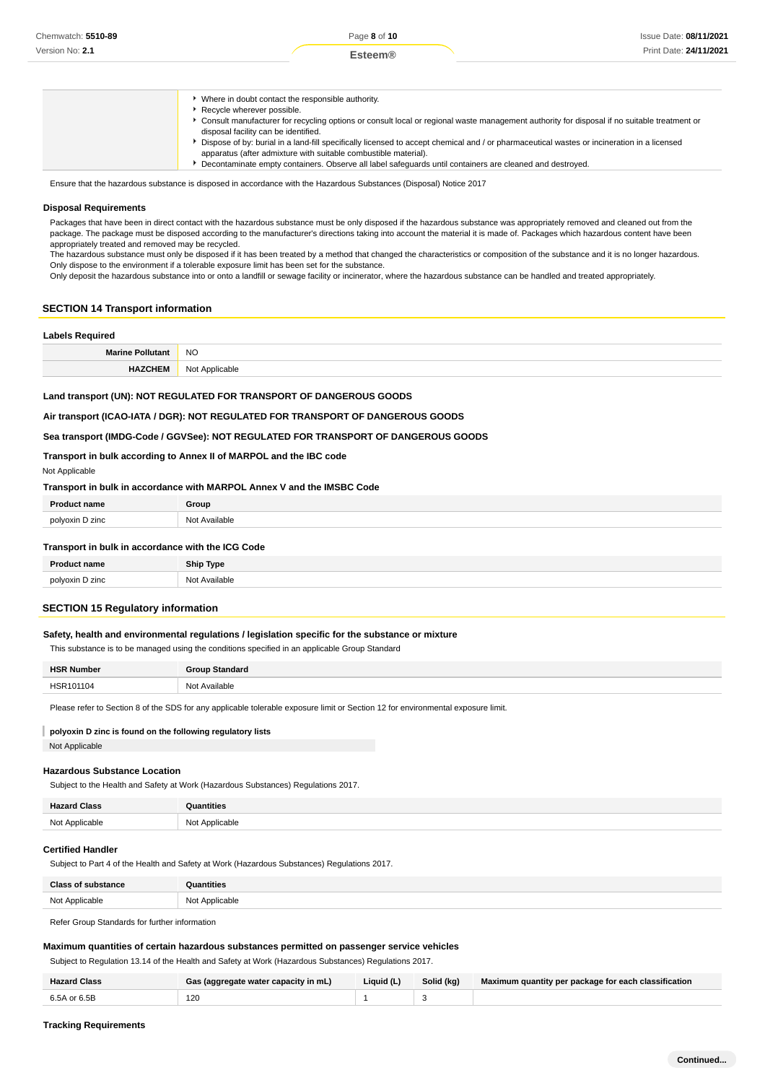| Decontaminate empty containers. Observe all label safequards until containers are cleaned and destroyed. |
|----------------------------------------------------------------------------------------------------------|
|----------------------------------------------------------------------------------------------------------|

Ensure that the hazardous substance is disposed in accordance with the Hazardous Substances (Disposal) Notice 2017

### **Disposal Requirements**

Packages that have been in direct contact with the hazardous substance must be only disposed if the hazardous substance was appropriately removed and cleaned out from the package. The package must be disposed according to the manufacturer's directions taking into account the material it is made of. Packages which hazardous content have been appropriately treated and removed may be recycled.

The hazardous substance must only be disposed if it has been treated by a method that changed the characteristics or composition of the substance and it is no longer hazardous. Only dispose to the environment if a tolerable exposure limit has been set for the substance.

Only deposit the hazardous substance into or onto a landfill or sewage facility or incinerator, where the hazardous substance can be handled and treated appropriately.

### **SECTION 14 Transport information**

### **Labels Required**

| ---------------     |                |
|---------------------|----------------|
| <b>Marine Pollu</b> | <b>NO</b>      |
| <b>HAZCHEM</b>      | Not Applicable |

### **Land transport (UN): NOT REGULATED FOR TRANSPORT OF DANGEROUS GOODS**

**Air transport (ICAO-IATA / DGR): NOT REGULATED FOR TRANSPORT OF DANGEROUS GOODS**

### **Sea transport (IMDG-Code / GGVSee): NOT REGULATED FOR TRANSPORT OF DANGEROUS GOODS**

## **Transport in bulk according to Annex II of MARPOL and the IBC code**

```
Not Applicable
```
## **Transport in bulk in accordance with MARPOL Annex V and the IMSBC Code**

| п.              | .       |
|-----------------|---------|
| nol.<br>$\n  7$ | 10<br>. |

#### **Transport in bulk in accordance with the ICG Code**

| <b>Product name</b> | <b>Ship Type</b> |
|---------------------|------------------|
| polyoxin D zinc     | Not Available    |

### **SECTION 15 Regulatory information**

### **Safety, health and environmental regulations / legislation specific for the substance or mixture**

| This substance is to be managed using the conditions specified in an applicable Group Standard |                       |  |
|------------------------------------------------------------------------------------------------|-----------------------|--|
| <b>HSR Number</b>                                                                              | <b>Group Standard</b> |  |
| HSR101104                                                                                      | Not Available         |  |

Please refer to Section 8 of the SDS for any applicable tolerable exposure limit or Section 12 for environmental exposure limit.

Not Applicable

#### **Hazardous Substance Location**

Subject to the Health and Safety at Work (Hazardous Substances) Regulations 2017.

| $.$ $\Gamma$ $\Omega$ $\Omega$<br>Hazard<br>, 1453 | ıntities                                                   |
|----------------------------------------------------|------------------------------------------------------------|
| Not Applicu                                        | Not<br>Annlicable<br><b>IVOL</b> <i><b>ripplicable</b></i> |

#### **Certified Handler**

Subject to Part 4 of the Health and Safety at Work (Hazardous Substances) Regulations 2017.

| <b>Class of substance</b> | Quantities     |
|---------------------------|----------------|
| Not Applicable            | Not Applicable |

Refer Group Standards for further information

### **Maximum quantities of certain hazardous substances permitted on passenger service vehicles**

Subject to Regulation 13.14 of the Health and Safety at Work (Hazardous Substances) Regulations 2017.

| <b>Hazard Class</b> | Gas (aggregate water capacity in mL) | Liquid (L) | Solid (kg) | Maximum quantity per package for each classification |
|---------------------|--------------------------------------|------------|------------|------------------------------------------------------|
| 6.5A or 6.5B        | 120<br>$\sim$                        |            |            |                                                      |

### **Tracking Requirements**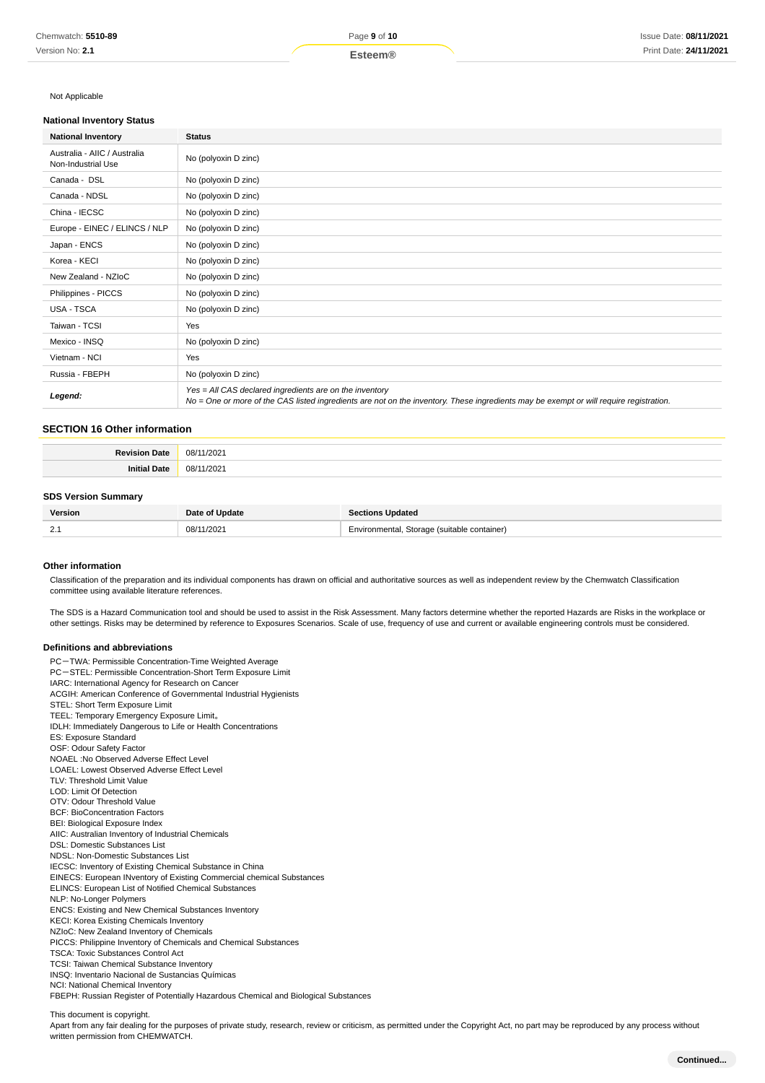#### Not Applicable

### **National Inventory Status**

| <b>National Inventory</b>                          | <b>Status</b>                                                                                                                                                                                     |
|----------------------------------------------------|---------------------------------------------------------------------------------------------------------------------------------------------------------------------------------------------------|
| Australia - AIIC / Australia<br>Non-Industrial Use | No (polyoxin D zinc)                                                                                                                                                                              |
| Canada - DSL                                       | No (polyoxin D zinc)                                                                                                                                                                              |
| Canada - NDSL                                      | No (polyoxin D zinc)                                                                                                                                                                              |
| China - IECSC                                      | No (polyoxin D zinc)                                                                                                                                                                              |
| Europe - EINEC / ELINCS / NLP                      | No (polyoxin D zinc)                                                                                                                                                                              |
| Japan - ENCS                                       | No (polyoxin D zinc)                                                                                                                                                                              |
| Korea - KECI                                       | No (polyoxin D zinc)                                                                                                                                                                              |
| New Zealand - NZIoC                                | No (polyoxin D zinc)                                                                                                                                                                              |
| Philippines - PICCS                                | No (polyoxin D zinc)                                                                                                                                                                              |
| USA - TSCA                                         | No (polyoxin D zinc)                                                                                                                                                                              |
| Taiwan - TCSI                                      | Yes                                                                                                                                                                                               |
| Mexico - INSQ                                      | No (polyoxin D zinc)                                                                                                                                                                              |
| Vietnam - NCI                                      | Yes                                                                                                                                                                                               |
| Russia - FBEPH                                     | No (polyoxin D zinc)                                                                                                                                                                              |
| Legend:                                            | Yes = All CAS declared ingredients are on the inventory<br>No = One or more of the CAS listed ingredients are not on the inventory. These ingredients may be exempt or will require registration. |

### **SECTION 16 Other information**

| 202<br>08/ |
|------------|
| 202<br>∩R∶ |

#### **SDS Version Summary**

| Version            | Date of Update | <b>Sections Updated</b>                                |
|--------------------|----------------|--------------------------------------------------------|
| $\sim$<br><u>.</u> | 08/11/2021     | ', Storage (suitable container)<br>Environmental.<br>v |

#### **Other information**

Classification of the preparation and its individual components has drawn on official and authoritative sources as well as independent review by the Chemwatch Classification committee using available literature references.

The SDS is a Hazard Communication tool and should be used to assist in the Risk Assessment. Many factors determine whether the reported Hazards are Risks in the workplace or other settings. Risks may be determined by reference to Exposures Scenarios. Scale of use, frequency of use and current or available engineering controls must be considered.

### **Definitions and abbreviations**

PC-TWA: Permissible Concentration-Time Weighted Average PC-STEL: Permissible Concentration-Short Term Exposure Limit IARC: International Agency for Research on Cancer ACGIH: American Conference of Governmental Industrial Hygienists STEL: Short Term Exposure Limit TEEL: Temporary Emergency Exposure Limit。 IDLH: Immediately Dangerous to Life or Health Concentrations ES: Exposure Standard OSF: Odour Safety Factor NOAEL :No Observed Adverse Effect Level LOAEL: Lowest Observed Adverse Effect Level TLV: Threshold Limit Value LOD: Limit Of Detection OTV: Odour Threshold Value BCF: BioConcentration Factors BEI: Biological Exposure Index AIIC: Australian Inventory of Industrial Chemicals DSL: Domestic Substances List NDSL: Non-Domestic Substances List IECSC: Inventory of Existing Chemical Substance in China EINECS: European INventory of Existing Commercial chemical Substances ELINCS: European List of Notified Chemical Substances NLP: No-Longer Polymers ENCS: Existing and New Chemical Substances Inventory KECI: Korea Existing Chemicals Inventory NZIoC: New Zealand Inventory of Chemicals PICCS: Philippine Inventory of Chemicals and Chemical Substances TSCA: Toxic Substances Control Act TCSI: Taiwan Chemical Substance Inventory INSQ: Inventario Nacional de Sustancias Químicas NCI: National Chemical Inventory FBEPH: Russian Register of Potentially Hazardous Chemical and Biological Substances This document is copyright.

Apart from any fair dealing for the purposes of private study, research, review or criticism, as permitted under the Copyright Act, no part may be reproduced by any process without written permission from CHEMWATCH.